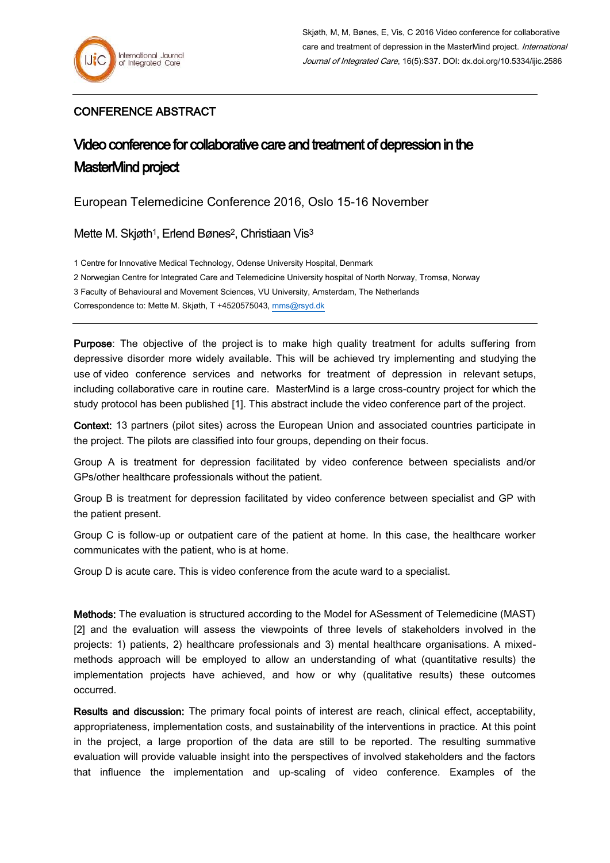## CONFERENCE ABSTRACT

## Video conference for collaborative care and treatment of depression in the MasterMind project

European Telemedicine Conference 2016, Oslo 15-16 November

Mette M. Skjøth<sup>1</sup>, Erlend Bønes<sup>2</sup>, Christiaan Vis<sup>3</sup>

1 Centre for Innovative Medical Technology, Odense University Hospital, Denmark

2 Norwegian Centre for Integrated Care and Telemedicine University hospital of North Norway, Tromsø, Norway

3 Faculty of Behavioural and Movement Sciences, VU University, Amsterdam, The Netherlands

Correspondence to: Mette M. Skjøth, T +4520575043[, mms@rsyd.dk](mailto:mms@rsyd.dk)

Purpose: The objective of the project is to make high quality treatment for adults suffering from depressive disorder more widely available. This will be achieved try implementing and studying the use of video conference services and networks for treatment of depression in relevant setups, including collaborative care in routine care. MasterMind is a large cross-country project for which the study protocol has been published [1]. This abstract include the video conference part of the project.

Context: 13 partners (pilot sites) across the European Union and associated countries participate in the project. The pilots are classified into four groups, depending on their focus.

Group A is treatment for depression facilitated by video conference between specialists and/or GPs/other healthcare professionals without the patient.

Group B is treatment for depression facilitated by video conference between specialist and GP with the patient present.

Group C is follow-up or outpatient care of the patient at home. In this case, the healthcare worker communicates with the patient, who is at home.

Group D is acute care. This is video conference from the acute ward to a specialist.

Methods: The evaluation is structured according to the Model for ASessment of Telemedicine (MAST) [2] and the evaluation will assess the viewpoints of three levels of stakeholders involved in the projects: 1) patients, 2) healthcare professionals and 3) mental healthcare organisations. A mixedmethods approach will be employed to allow an understanding of what (quantitative results) the implementation projects have achieved, and how or why (qualitative results) these outcomes occurred.

Results and discussion: The primary focal points of interest are reach, clinical effect, acceptability, appropriateness, implementation costs, and sustainability of the interventions in practice. At this point in the project, a large proportion of the data are still to be reported. The resulting summative evaluation will provide valuable insight into the perspectives of involved stakeholders and the factors that influence the implementation and up-scaling of video conference. Examples of the